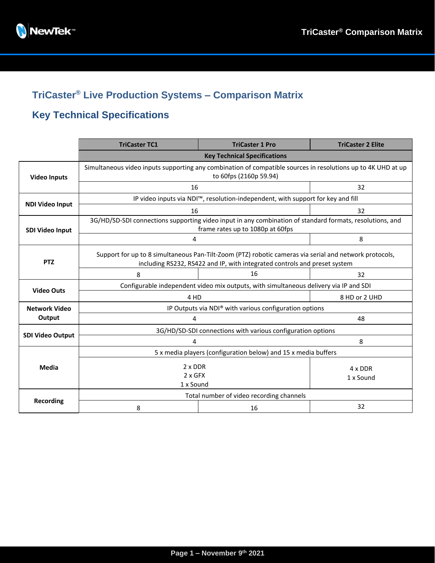

## **TriCaster® Live Production Systems – Comparison Matrix**

## **Key Technical Specifications**

|                         | <b>TriCaster TC1</b>                                                                                                                                                                | <b>TriCaster 1 Pro</b> | <b>TriCaster 2 Elite</b> |  |  |
|-------------------------|-------------------------------------------------------------------------------------------------------------------------------------------------------------------------------------|------------------------|--------------------------|--|--|
|                         | <b>Key Technical Specifications</b>                                                                                                                                                 |                        |                          |  |  |
| <b>Video Inputs</b>     | Simultaneous video inputs supporting any combination of compatible sources in resolutions up to 4K UHD at up<br>to 60fps (2160p 59.94)                                              |                        |                          |  |  |
|                         | 16                                                                                                                                                                                  |                        | 32                       |  |  |
| <b>NDI Video Input</b>  | IP video inputs via NDI™, resolution-independent, with support for key and fill                                                                                                     |                        |                          |  |  |
|                         | 16                                                                                                                                                                                  | 32                     |                          |  |  |
| <b>SDI Video Input</b>  | 3G/HD/SD-SDI connections supporting video input in any combination of standard formats, resolutions, and<br>frame rates up to 1080p at 60fps                                        |                        |                          |  |  |
|                         | 4                                                                                                                                                                                   |                        | 8                        |  |  |
| <b>PTZ</b>              | Support for up to 8 simultaneous Pan-Tilt-Zoom (PTZ) robotic cameras via serial and network protocols,<br>including RS232, RS422 and IP, with integrated controls and preset system |                        |                          |  |  |
|                         | 8                                                                                                                                                                                   | 16                     | 32                       |  |  |
| <b>Video Outs</b>       | Configurable independent video mix outputs, with simultaneous delivery via IP and SDI                                                                                               |                        |                          |  |  |
|                         | 4 HD                                                                                                                                                                                | 8 HD or 2 UHD          |                          |  |  |
| <b>Network Video</b>    | IP Outputs via NDI® with various configuration options                                                                                                                              |                        |                          |  |  |
| Output                  | 4                                                                                                                                                                                   |                        | 48                       |  |  |
| <b>SDI Video Output</b> | 3G/HD/SD-SDI connections with various configuration options                                                                                                                         |                        |                          |  |  |
|                         | 4                                                                                                                                                                                   |                        | 8                        |  |  |
| <b>Media</b>            | 5 x media players (configuration below) and 15 x media buffers                                                                                                                      |                        |                          |  |  |
|                         | $2 \times$ DDR<br>$2 \times$ GFX                                                                                                                                                    |                        | 4 x DDR<br>1 x Sound     |  |  |
|                         | 1 x Sound                                                                                                                                                                           |                        |                          |  |  |
| <b>Recording</b>        | Total number of video recording channels                                                                                                                                            |                        |                          |  |  |
|                         | 8                                                                                                                                                                                   | 16                     | 32                       |  |  |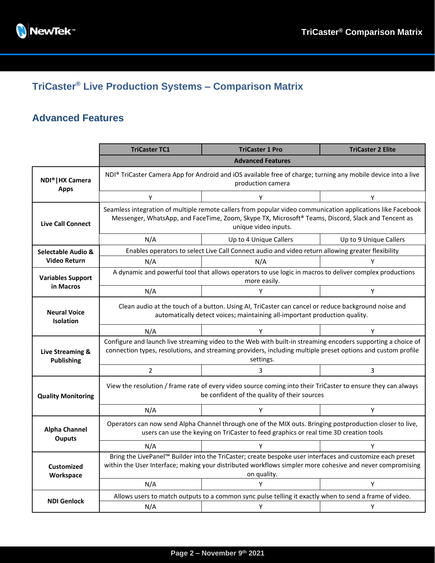

# **TriCaster® Live Production Systems – Comparison Matrix**

### **Advanced Features**

|                                                   | <b>TriCaster TC1</b>                                                                                                                                                                                                                      | <b>TriCaster 1 Pro</b> | <b>TriCaster 2 Elite</b> |  |  |
|---------------------------------------------------|-------------------------------------------------------------------------------------------------------------------------------------------------------------------------------------------------------------------------------------------|------------------------|--------------------------|--|--|
|                                                   | <b>Advanced Features</b>                                                                                                                                                                                                                  |                        |                          |  |  |
| <b>NDI<sup>®</sup>   HX Camera</b><br><b>Apps</b> | NDI® TriCaster Camera App for Android and iOS available free of charge; turning any mobile device into a live<br>production camera                                                                                                        |                        |                          |  |  |
|                                                   | Υ                                                                                                                                                                                                                                         | Y                      | Υ                        |  |  |
| <b>Live Call Connect</b>                          | Seamless integration of multiple remote callers from popular video communication applications like Facebook<br>Messenger, WhatsApp, and FaceTime, Zoom, Skype TX, Microsoft® Teams, Discord, Slack and Tencent as<br>unique video inputs. |                        |                          |  |  |
|                                                   | N/A                                                                                                                                                                                                                                       | Up to 4 Unique Callers | Up to 9 Unique Callers   |  |  |
| Selectable Audio &                                | Enables operators to select Live Call Connect audio and video return allowing greater flexibility                                                                                                                                         |                        |                          |  |  |
| <b>Video Return</b>                               | N/A                                                                                                                                                                                                                                       | N/A                    |                          |  |  |
| <b>Variables Support</b>                          | A dynamic and powerful tool that allows operators to use logic in macros to deliver complex productions<br>more easily.                                                                                                                   |                        |                          |  |  |
| in Macros                                         | N/A                                                                                                                                                                                                                                       | Y                      | Ÿ                        |  |  |
| <b>Neural Voice</b><br><b>Isolation</b>           | Clean audio at the touch of a button. Using AI, TriCaster can cancel or reduce background noise and<br>automatically detect voices; maintaining all-important production quality.                                                         |                        |                          |  |  |
|                                                   | N/A                                                                                                                                                                                                                                       | Υ                      | Y                        |  |  |
| Live Streaming &<br>Publishing                    | Configure and launch live streaming video to the Web with built-in streaming encoders supporting a choice of<br>connection types, resolutions, and streaming providers, including multiple preset options and custom profile<br>settings. |                        |                          |  |  |
|                                                   | $\overline{2}$                                                                                                                                                                                                                            | 3                      | 3                        |  |  |
| <b>Quality Monitoring</b>                         | View the resolution / frame rate of every video source coming into their TriCaster to ensure they can always<br>be confident of the quality of their sources                                                                              |                        |                          |  |  |
|                                                   | N/A                                                                                                                                                                                                                                       | Y                      | Υ                        |  |  |
| <b>Alpha Channel</b><br><b>Ouputs</b>             | Operators can now send Alpha Channel through one of the MIX outs. Bringing postproduction closer to live,<br>users can use the keying on TriCaster to feed graphics or real time 3D creation tools                                        |                        |                          |  |  |
|                                                   | N/A                                                                                                                                                                                                                                       | Υ                      | Υ                        |  |  |
| <b>Customized</b><br>Workspace                    | Bring the LivePanel™ Builder into the TriCaster; create bespoke user interfaces and customize each preset<br>within the User Interface; making your distributed workflows simpler more cohesive and never compromising<br>on quality.     |                        |                          |  |  |
|                                                   | N/A                                                                                                                                                                                                                                       | Υ                      | Υ                        |  |  |
| <b>NDI Genlock</b>                                | Allows users to match outputs to a common sync pulse telling it exactly when to send a frame of video.                                                                                                                                    |                        |                          |  |  |
|                                                   | N/A                                                                                                                                                                                                                                       | Y                      | Y                        |  |  |